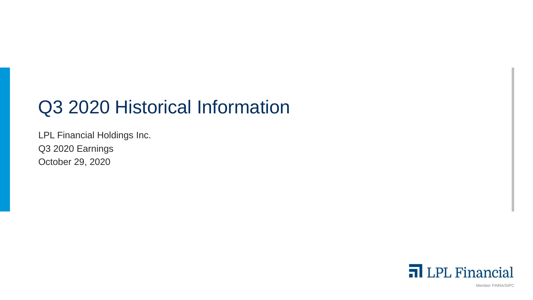# Q3 2020 Historical Information

LPL Financial Holdings Inc. Q3 2020 Earnings October 29, 2020



Member FINRA/SIPC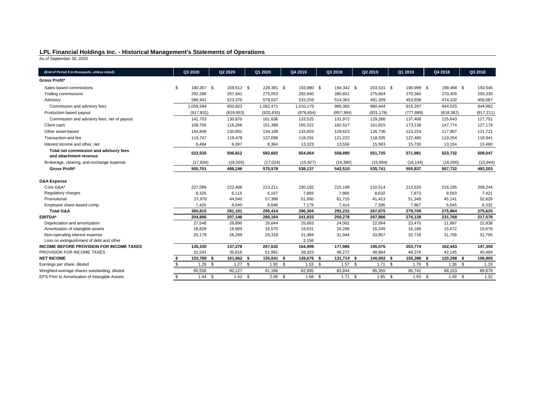## **LPL Financial Holdings Inc. - Historical Management's Statements of Operations**

As of September 30, 2020

| (End of Period \$ in thousands, unless noted)                    | Q3 2020          |      | Q2 2020    |      | Q1 2020    |      | Q4 2019    | Q3 2019    |      | Q2 2019    |     | Q1 2019    |          | Q4 2018    | Q3 2018    |
|------------------------------------------------------------------|------------------|------|------------|------|------------|------|------------|------------|------|------------|-----|------------|----------|------------|------------|
| <b>Gross Profit*</b>                                             |                  |      |            |      |            |      |            |            |      |            |     |            |          |            |            |
| Sales-based commissions                                          | \$<br>180,357 \$ |      | 159,512 \$ |      | 228,391 \$ |      | 193,980 \$ | 194,342 \$ |      | 203,531 \$ |     | 190,999 \$ |          | 199,468 \$ | 193,545    |
| Trailing commissions                                             | 292,286          |      | 267,941    |      | 275,053    |      | 282,940    | 280,651    |      | 275,604    |     | 270,360    |          | 270,455    | 293,330    |
| Advisory                                                         | 586,941          |      | 523,370    |      | 579,027    |      | 533,259    | 514,363    |      | 481,309    |     | 453,938    |          | 474,102    | 458,087    |
| Commission and advisory fees                                     | 1,059,584        |      | 950,823    |      | 1,082,471  |      | 1,010,179  | 989,356    |      | 960,444    |     | 915,297    |          | 944,025    | 944,962    |
| Production based payout                                          | (917, 831)       |      | (819, 953) |      | (920, 835) |      | (876, 654) | (857, 384) |      | (831, 178) |     | (777, 889) |          | (818, 382) | (817, 211) |
| Commission and advisory fees, net of payout                      | 141,753          |      | 130,870    |      | 161,636    |      | 133,525    | 131,972    |      | 129,266    |     | 137,408    |          | 125,643    | 127,751    |
| Client cash                                                      | 108,705          |      | 116,266    |      | 151,398    |      | 155,322    | 162,517    |      | 161,815    |     | 173,139    |          | 147,774    | 127,174    |
| Other asset-based                                                | 144,846          |      | 130,801    |      | 134,108    |      | 133,603    | 129,623    |      | 126,736    |     | 123,224    |          | 117,907    | 121,721    |
| Transaction and fee                                              | 119,747          |      | 119,478    |      | 137,096    |      | 118,291    | 121,222    |      | 118,335    |     | 122,480    |          | 119,254    | 118,941    |
| Interest income and other, net                                   | 8,484            |      | 9,397      |      | 8,364      |      | 13,323     | 13,556     |      | 15,583     |     | 15,730     |          | 13,154     | 13,460     |
| Total net commission and advisory fees<br>and attachment revenue | 523,535          |      | 506,812    |      | 592,602    |      | 554,064    | 558,890    |      | 551,735    |     | 571,981    |          | 523,732    | 509,047    |
| Brokerage, clearing, and exchange expense                        | (17, 834)        |      | (18, 565)  |      | (17, 024)  |      | (15, 927)  | (16, 380)  |      | (15,994)   |     | (16, 144)  |          | (16,000)   | (15, 844)  |
| <b>Gross Profit*</b>                                             | 505,701          |      | 488,246    |      | 575,578    |      | 538,137    | 542,510    |      | 535,741    |     | 555,837    |          | 507,732    | 493,203    |
| <b>G&amp;A Expense</b>                                           |                  |      |            |      |            |      |            |            |      |            |     |            |          |            |            |
| Core G&A*                                                        | 227,099          |      | 222,406    |      | 223,211    |      | 230,182    | 215,198    |      | 210,514    |     | 212,520    |          | 216,185    | 209,244    |
| Regulatory charges                                               | 8,326            |      | 6,115      |      | 6,157      |      | 7,893      | 7,905      |      | 8,632      |     | 7,873      |          | 9,593      | 7,421      |
| Promotional                                                      | 57,970           |      | 44,540     |      | 57,398     |      | 51,050     | 61,715     |      | 41,423     |     | 51,349     |          | 45,141     | 52,628     |
| Employee share-based comp.                                       | 7,420            |      | 8,040      |      | 8,648      |      | 7,179      | 7,414      |      | 7,306      |     | 7,967      |          | 5,045      | 6,332      |
| <b>Total G&amp;A</b>                                             | 300,815          |      | 281,101    |      | 295,414    |      | 296,304    | 292,232    |      | 267,875    |     | 279,709    |          | 275,964    | 275,625    |
| <b>EBITDA*</b>                                                   | 204,886          |      | 207,146    |      | 280,164    |      | 241,833    | 250,278    |      | 267,866    |     | 276,128    |          | 231,768    | 217,578    |
| Depreciation and amortization                                    | 27,548           |      | 26,890     |      | 26,644     |      | 25,663     | 24,062     |      | 22,584     |     | 23,470     |          | 21,897     | 22,838     |
| Amortization of intangible assets                                | 16,829           |      | 16,689     |      | 16,570     |      | 16,631     | 16,286     |      | 16,249     |     | 16,168     |          | 15,672     | 15,676     |
| Non-operating interest expense                                   | 25,179           |      | 26,289     |      | 29,318     |      | 31,384     | 31,944     |      | 33,957     |     | 32,716     |          | 31,756     | 31,705     |
| Loss on extinguishment of debt and other                         |                  |      |            |      |            |      | 3,156      |            |      |            |     |            |          |            |            |
| <b>INCOME BEFORE PROVISION FOR INCOME TAXES</b>                  | 135,330          |      | 137,278    |      | 207,632    |      | 164,999    | 177,986    |      | 195,076    |     | 203,774    |          | 162,443    | 147,359    |
| PROVISION FOR INCOME TAXES                                       | 31,541           |      | 35,616     |      | 51,991     |      | 38,323     | 46,272     |      | 48,984     |     | 48,376     |          | 42,145     | 40,494     |
| <b>NET INCOME</b>                                                | 103,789 \$       |      | 101,662 \$ |      | 155,641 \$ |      | 126,676 \$ | 131,714 \$ |      | 146,092 \$ |     | 155,398 \$ |          | 120,298 \$ | 106,865    |
| Earnings per share, diluted                                      | $1.29$ \$        |      | 1.27       | - \$ | $1.92$ \$  |      | $1.53$ \$  | $1.57$ \$  |      | $1.71$ \$  |     | $1.79$ \$  |          | $1.36$ \$  | 1.19       |
| Weighted-average shares outstanding, diluted                     | 80,550           |      | 80,127     |      | 81,166     |      | 82,695     | 83,844     |      | 85,350     |     | 86,742     |          | 88,163     | 89,878     |
| EPS Prior to Amortization of Intangible Assets                   | \$<br>1.44       | - \$ | 1.42 S     |      | 2.06       | - \$ | $1.68$ \$  | 1.71       | - \$ | 1.85       | -\$ | 1.93       | <b>S</b> | 1.49S      | 1.32       |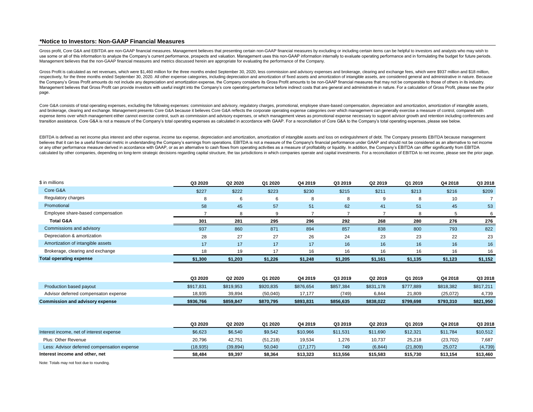## **\*Notice to Investors: Non-GAAP Financial Measures**

Gross profit. Core G&A and EBITDA are non-GAAP financial measures. Management believes that presenting certain non-GAAP financial measures by excluding or including certain items can be helpful to investors and analysts wh use some or all of this information to analyze the Company's current performance, prospects and valuation. Management uses this non-GAAP information internally to evaluate operating performance and in formulating the budge Management believes that the non-GAAP financial measures and metrics discussed herein are appropriate for evaluating the performance of the Company.

Gross Profit is calculated as net revenues, which were \$1,460 million for the three months ended September 30, 2020, less commission and advisory expenses and brokerage, clearing and exchange fees, which were \$937 million respectively, for the three months ended September 30, 2020. All other expense categories, including depreciation and amortization of fixed assets and amortization of intangible assets, are considered general and administr the Company's Gross Profit amounts do not include any depreciation and amortization expense, the Company considers its Gross Profit amounts to be non-GAAP financial measures that may not be comparable to those of others in Management believes that Gross Profit can provide investors with useful insight into the Company's core operating performance before indirect costs that are general and administrative in nature. For a calculation of Gross page.

Core G&A consists of total operating expenses, excluding the following expenses: commission and advisory, regulatory charges, promotional, employee share-based compensation, depreciation and amortization, amortization of i and brokerage, clearing and exchange. Management presents Core G&A because it believes Core G&A reflects the corporate operating expense categories over which management can generally exercise a measure of control, compare expense items over which management either cannot exercise control, such as commission and advisory expenses, or which management views as promotional expense necessary to support advisor growth and retention including con transition assistance. Core G&A is not a measure of the Company's total operating expenses as calculated in accordance with GAAP. For a reconciliation of Core G&A to the Company's total operating expenses, please see below

EBITDA is defined as net income plus interest and other expense, income tax expense, depreciation and amortization, amortization of intangible assets and loss on extinguishment of debt. The Company presents EBITDA because believes that it can be a useful financial metric in understanding the Company's earnings from operations. EBITDA is not a measure of the Company's financial performance under GAAP and should not be considered as an altern or any other performance measure derived in accordance with GAAP, or as an alternative to cash flows from operating activities as a measure of profitability or liquidity. In addition, the Company's EBITDA can differ signif calculated by other companies, depending on long-term strategic decisions regarding capital structure, the tax jurisdictions in which companies operate and capital investments. For a reconciliation of EBITDA to net income,

| \$ in millions                    | Q3 2020 | Q2 2020 | Q1 2020 | Q4 2019 | Q3 2019 | Q2 2019 | Q1 2019 | Q4 2018 | Q3 2018 |
|-----------------------------------|---------|---------|---------|---------|---------|---------|---------|---------|---------|
| Core G&A                          | \$227   | \$222   | \$223   | \$230   | \$215   | \$211   | \$213   | \$216   | \$209   |
| Regulatory charges                | 8       |         | 6       | 8       | 8       | 9       |         | 10      |         |
| Promotional                       | 58      | 45      | 57      | 51      | 62      | 41      | 51      | 45      | 53      |
| Employee share-based compensation |         |         |         |         |         |         |         |         | 6       |
| <b>Total G&amp;A</b>              | 301     | 281     | 295     | 296     | 292     | 268     | 280     | 276     | 276     |
| Commissions and advisory          | 937     | 860     | 871     | 894     | 857     | 838     | 800     | 793     | 822     |
| Depreciation & amortization       | 28      | 27      | 27      | 26      | 24      | 23      | 23      | 22      | 23      |
| Amortization of intangible assets | 17      | 17      | 17      | 17      | 16      | 16      | 16      | 16      | 16      |
| Brokerage, clearing and exchange  | 18      | 19      | 17      | 16      | 16      | 16      | 16      | 16      | 16      |
| <b>Total operating expense</b>    | \$1,300 | \$1,203 | \$1,226 | \$1,248 | \$1,205 | \$1,161 | \$1,135 | \$1,123 | \$1,152 |

|                                        | Q3 2020   | Q2 2020   | Q1 2020   | Q4 2019   | Q3 2019   | Q2 2019   | Q1 2019   | Q4 2018   | Q3 2018   |
|----------------------------------------|-----------|-----------|-----------|-----------|-----------|-----------|-----------|-----------|-----------|
| Production based payout                | \$917,831 | \$819,953 | \$920,835 | \$876,654 | \$857,384 | \$831,178 | \$777,889 | \$818,382 | \$817,211 |
| Advisor deferred compensaton expense   | 18.935    | 39.894    | (50.040)  | 17.177    | 749       | 6.844     | 21.809    | (25,072)  | 4.739     |
| <b>Commission and advisory expense</b> | \$936.766 | \$859.847 | \$870.795 | \$893,831 | \$856,635 | \$838.022 | \$799.698 | \$793,310 | \$821,950 |

|                                             | Q3 2020   | Q2 2020   | Q1 2020   | Q4 2019   | Q3 2019  | Q2 2019  | Q1 2019   | Q4 2018   | Q3 2018  |
|---------------------------------------------|-----------|-----------|-----------|-----------|----------|----------|-----------|-----------|----------|
| Interest income, net of interest expense    | \$6,623   | \$6,540   | \$9,542   | \$10,966  | \$11,531 | \$11,690 | \$12,321  | \$11,784  | \$10,512 |
| Plus: Other Revenue                         | 20.796    | 42.751    | (51, 218) | 19,534    | 1,276    | 10,737   | 25,218    | (23, 702) | 7,687    |
| Less: Advisor deferred compensation expense | (18, 935) | (39, 894) | 50,040    | (17, 177) | 749      | (6, 844) | (21, 809) | 25,072    | (4,739)  |
| Interest income and other, net              | \$8,484   | \$9,397   | \$8,364   | \$13,323  | \$13,556 | \$15,583 | \$15,730  | \$13,154  | \$13,460 |

Note: Totals may not foot due to rounding.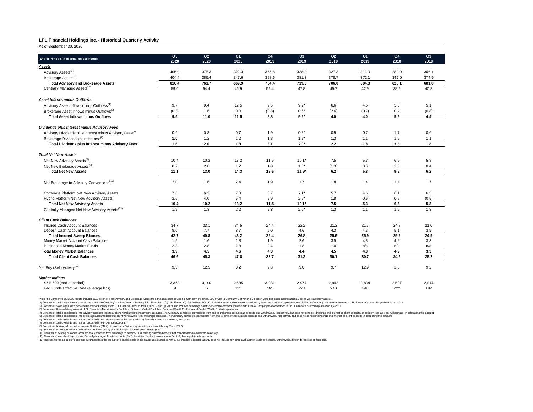#### **LPL Financial Holdings Inc. - Historical Quarterly Activity**

As of September 30, 2020

| (End of Period \$ in billions, unless noted)                        | Q3    | Q2    | Q <sub>1</sub> | Q <sub>4</sub> | Q3      | Q2      | Q <sub>1</sub> | Q <sub>4</sub> | Q3    |
|---------------------------------------------------------------------|-------|-------|----------------|----------------|---------|---------|----------------|----------------|-------|
|                                                                     | 2020  | 2020  | 2020           | 2019           | 2019    | 2019    | 2019           | 2018           | 2018  |
| Assets                                                              |       |       |                |                |         |         |                |                |       |
| Advisory Assets <sup>(1)</sup>                                      | 405.9 | 375.3 | 322.3          | 365.8          | 338.0   | 327.3   | 311.9          | 282.0          | 306.1 |
| Brokerage Assets <sup>(2)</sup>                                     | 404.4 | 386.4 | 347.6          | 398.6          | 381.3   | 378.7   | 372.1          | 346.0          | 374.9 |
| <b>Total Advisory and Brokerage Assets</b>                          | 810.4 | 761.7 | 669.9          | 764.4          | 719.3   | 706.0   | 684.0          | 628.1          | 681.0 |
| Centrally Managed Assets <sup>(3)</sup>                             | 59.0  | 54.4  | 46.9           | 52.4           | 47.8    | 45.7    | 42.9           | 38.5           | 40.8  |
| <b>Asset Inflows minus Outflows</b>                                 |       |       |                |                |         |         |                |                |       |
| Advisory Asset Inflows minus Outflows <sup>(4)</sup>                | 9.7   | 9.4   | 12.5           | 9.6            | $9.2*$  | 6.6     | 4.6            | 5.0            | 5.1   |
| Brokerage Asset Inflows minus Outflows <sup>(5)</sup>               | (0.3) | 1.6   | 0.0            | (0.8)          | $0.6*$  | (2.6)   | (0.7)          | 0.9            | (0.8) |
| <b>Total Asset Inflows minus Outflows</b>                           | 9.5   | 11.0  | 12.5           | 8.8            | $9.9*$  | 4.0     | 4.0            | 5.9            | 4.4   |
| Dividends plus Interest minus Advisory Fees                         |       |       |                |                |         |         |                |                |       |
| Advisory Dividends plus Interest minus Advisory Fees <sup>(6)</sup> | 0.6   | 0.8   | 0.7            | 1.9            | $0.8*$  | 0.9     | 0.7            | 1.7            | 0.6   |
| Brokerage Dividends plus Interest <sup>(7)</sup>                    | 1.0   | 1.2   | $1.2$          | 1.8            | $1.2*$  | 1.3     | 1.1            | 1.6            | 1.1   |
| Total Dividends plus Interest minus Advisory Fees                   | 1.6   | 2.0   | 1.8            | 3.7            | $2.0*$  | $2.2\,$ | 1.8            | 3.3            | 1.8   |
| <b>Total Net New Assets</b>                                         |       |       |                |                |         |         |                |                |       |
| Net New Advisory Assets <sup>(8)</sup>                              | 10.4  | 10.2  | 13.2           | 11.5           | $10.1*$ | 7.5     | 5.3            | 6.6            | 5.8   |
| Net New Brokerage Assets <sup>(9)</sup>                             | 0.7   | 2.8   | 1.2            | 1.0            | $1.8*$  | (1.3)   | 0.5            | 2.6            | 0.4   |
| <b>Total Net New Assets</b>                                         | 11.1  | 13.0  | 14.3           | 12.5           | $11.9*$ | 6.2     | 5.8            | 9.2            | 6.2   |
| Net Brokerage to Advisory Conversions <sup>(10)</sup>               | 2.0   | 1.6   | 2.4            | 1.9            | 1.7     | 1.8     | 1.4            | 1.4            | 1.7   |
| Corporate Platform Net New Advisory Assets                          | 7.8   | 6.2   | 7.8            | 8.7            | $7.1*$  | 5.7     | 4.6            | 6.1            | 6.3   |
| Hybrid Platform Net New Advisory Assets                             | 2.6   | 4.0   | 5.4            | 2.9            | $2.9*$  | 1.8     | 0.6            | 0.5            | (0.5) |
| <b>Total Net New Advisory Assets</b>                                | 10.4  | 10.2  | 13.2           | 11.5           | $10.1*$ | 7.5     | 5.3            | 6.6            | 5.8   |
| Centrally Managed Net New Advisory Assets <sup>(11)</sup>           | 1.9   | 1.3   | 2.2            | 2.3            | $2.0*$  | 1.3     | 1.1            | 1.6            | 1.8   |
| <b>Client Cash Balances</b>                                         |       |       |                |                |         |         |                |                |       |
| Insured Cash Account Balances                                       | 34.7  | 33.1  | 34.5           | 24.4           | 22.2    | 21.3    | 21.7           | 24.8           | 21.0  |
| Deposit Cash Account Balances                                       | 8.0   | 7.7   | 8.7            | 5.0            | 4.6     | 4.3     | 4.3            | 5.1            | 3.9   |
| <b>Total Insured Sweep Blances</b>                                  | 42.7  | 40.8  | 43.2           | 29.4           | 26.8    | 25.6    | 25.9           | 29.9           | 24.9  |
| Money Market Account Cash Balances                                  | 1.5   | 1.6   | 1.8            | 1.9            | 2.6     | 3.5     | 4.8            | 4.9            | 3.3   |
| Purchased Money Market Funds                                        | 2.3   | 2.8   | 2.8            | 2.4            | 1.8     | 1.0     | n/a            | n/a            | n/a   |
| <b>Total Money Market Balances</b>                                  | 3.9   | 4.5   | 4.6            | 4.3            | 4.4     | 4.5     | 4.8            | 4.9            | 3.3   |
| <b>Total Client Cash Balances</b>                                   | 46.6  | 45.3  | 47.8           | 33.7           | 31.2    | 30.1    | 30.7           | 34.9           | 28.2  |
| Net Buy (Sell) Activity <sup>(12)</sup>                             | 9.3   | 12.5  | 0.2            | 9.8            | 9.0     | 9.7     | 12.9           | 2.3            | 9.2   |
| <b>Market Indices</b>                                               |       |       |                |                |         |         |                |                |       |
| S&P 500 (end of period)                                             | 3,363 | 3,100 | 2,585          | 3,231          | 2,977   | 2,942   | 2,834          | 2,507          | 2,914 |
| Fed Funds Effective Rate (average bps)                              | 9     | 6     | 123            | 165            | 220     | 240     | 240            | 222            | 192   |

\*Note: the Company's Q3 2019 results included \$2.9 billion of Total Advisory and Brokerage Assets from the acquisition of Allen & Company of Florida, LLC (\*Allen & Company'), of which \$1.8 billion were brokerage assets and

(1) Consists of total advisory assets under custody at the Company's broker-dealer subsidiary. LPL Financial LLC ("LPL Financial"). Q3 2019 and Q4 2019 also included advisory assets serviced by investment advisor represent

(4) Consists of total clear the operational sected in the memberation about the Company considers conversed in the company considers conversion and to be about a subsect and with drawals, respectively, but does not conside

(6) Consists of total dividends and interest deposited into advisory accounts less total advisory fees withdrawn from advisory accounts. (7) Consists of total dividends and interest deposited into brokerage accounts.

(8) Consists of Advisory Asset Inflows minus Outflows (FN 4) plus Advisory Dividends plus Interest minus Advisory Fees (FN 6).<br>(9) Consists of Brokerage Asset Inflows minus Outflows (FN 5) plus Brokerage Dividends plus Int

(10) Consists of existing custodied accounts that converted from brokerage to advisory, less existing custodied assets that converted from advisory to brokerage.<br>(11) Consists of total client departions that is the about t